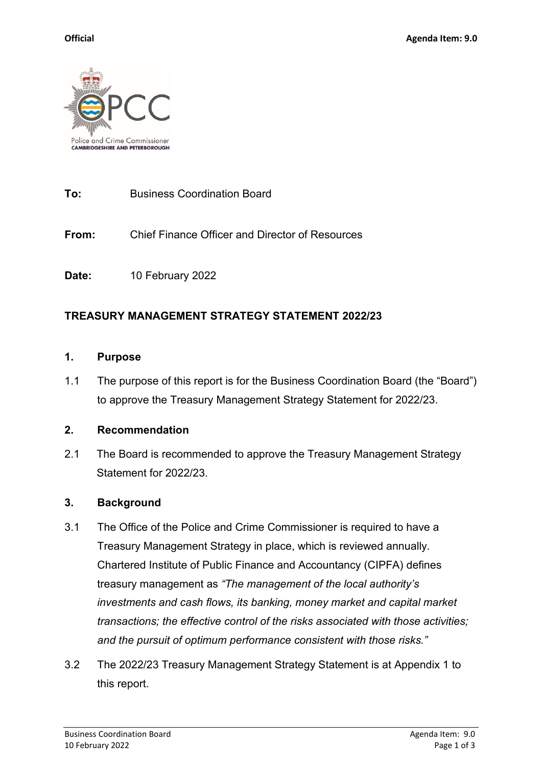

### **To:** Business Coordination Board

**From:** Chief Finance Officer and Director of Resources

**Date:** 10 February 2022

# **TREASURY MANAGEMENT STRATEGY STATEMENT 2022/23**

#### **1. Purpose**

1.1 The purpose of this report is for the Business Coordination Board (the "Board") to approve the Treasury Management Strategy Statement for 2022/23.

### **2. Recommendation**

2.1 The Board is recommended to approve the Treasury Management Strategy Statement for 2022/23.

### **3. Background**

- 3.1 The Office of the Police and Crime Commissioner is required to have a Treasury Management Strategy in place, which is reviewed annually. Chartered Institute of Public Finance and Accountancy (CIPFA) defines treasury management as *"The management of the local authority's investments and cash flows, its banking, money market and capital market transactions; the effective control of the risks associated with those activities; and the pursuit of optimum performance consistent with those risks."*
- 3.2 The 2022/23 Treasury Management Strategy Statement is at Appendix 1 to this report.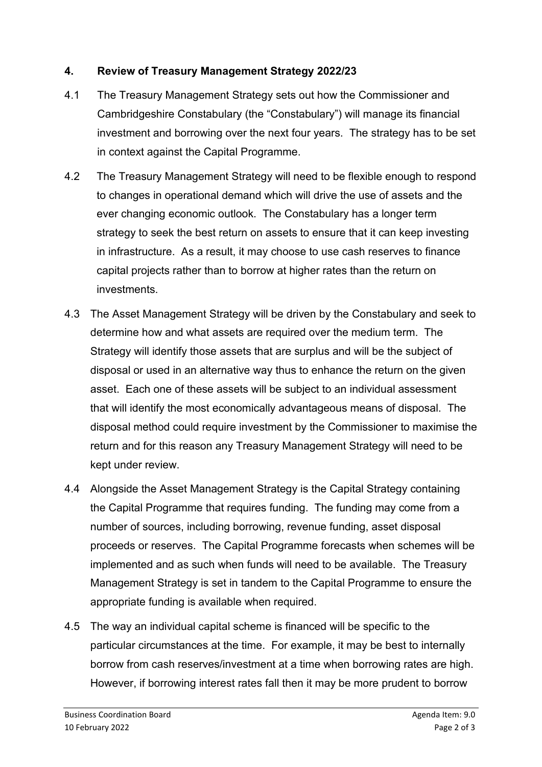# **4. Review of Treasury Management Strategy 2022/23**

- 4.1 The Treasury Management Strategy sets out how the Commissioner and Cambridgeshire Constabulary (the "Constabulary") will manage its financial investment and borrowing over the next four years. The strategy has to be set in context against the Capital Programme.
- 4.2 The Treasury Management Strategy will need to be flexible enough to respond to changes in operational demand which will drive the use of assets and the ever changing economic outlook. The Constabulary has a longer term strategy to seek the best return on assets to ensure that it can keep investing in infrastructure. As a result, it may choose to use cash reserves to finance capital projects rather than to borrow at higher rates than the return on investments.
- 4.3 The Asset Management Strategy will be driven by the Constabulary and seek to determine how and what assets are required over the medium term. The Strategy will identify those assets that are surplus and will be the subject of disposal or used in an alternative way thus to enhance the return on the given asset. Each one of these assets will be subject to an individual assessment that will identify the most economically advantageous means of disposal. The disposal method could require investment by the Commissioner to maximise the return and for this reason any Treasury Management Strategy will need to be kept under review.
- 4.4 Alongside the Asset Management Strategy is the Capital Strategy containing the Capital Programme that requires funding. The funding may come from a number of sources, including borrowing, revenue funding, asset disposal proceeds or reserves. The Capital Programme forecasts when schemes will be implemented and as such when funds will need to be available. The Treasury Management Strategy is set in tandem to the Capital Programme to ensure the appropriate funding is available when required.
- 4.5 The way an individual capital scheme is financed will be specific to the particular circumstances at the time. For example, it may be best to internally borrow from cash reserves/investment at a time when borrowing rates are high. However, if borrowing interest rates fall then it may be more prudent to borrow